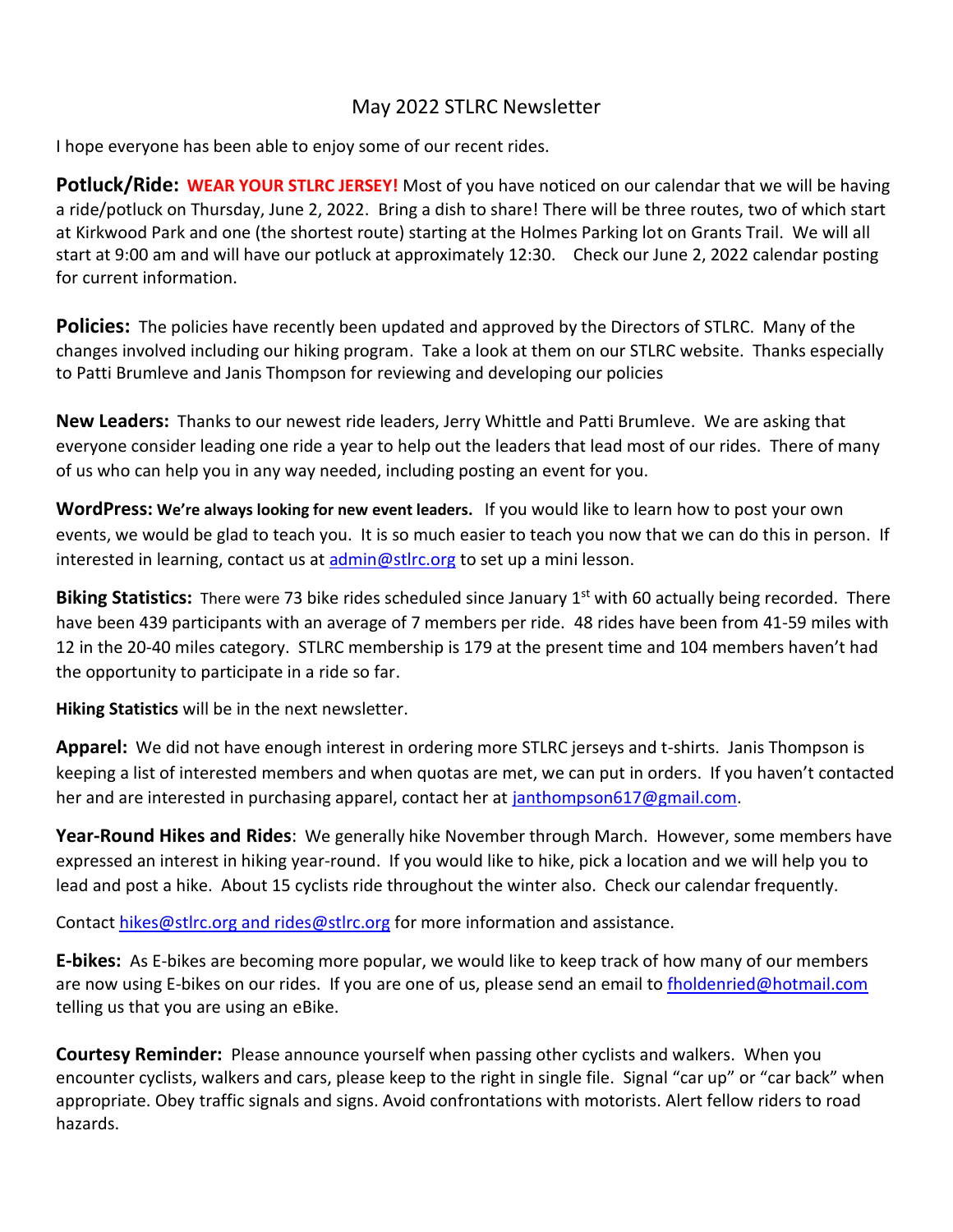## May 2022 STLRC Newsletter

I hope everyone has been able to enjoy some of our recent rides.

**Potluck/Ride: WEAR YOUR STLRC JERSEY!** Most of you have noticed on our calendar that we will be having a ride/potluck on Thursday, June 2, 2022. Bring a dish to share! There will be three routes, two of which start at Kirkwood Park and one (the shortest route) starting at the Holmes Parking lot on Grants Trail. We will all start at 9:00 am and will have our potluck at approximately 12:30. Check our June 2, 2022 calendar posting for current information.

**Policies:** The policies have recently been updated and approved by the Directors of STLRC. Many of the changes involved including our hiking program. Take a look at them on our STLRC website. Thanks especially to Patti Brumleve and Janis Thompson for reviewing and developing our policies

**New Leaders:** Thanks to our newest ride leaders, Jerry Whittle and Patti Brumleve. We are asking that everyone consider leading one ride a year to help out the leaders that lead most of our rides. There of many of us who can help you in any way needed, including posting an event for you.

**WordPress: We're always looking for new event leaders.** If you would like to learn how to post your own events, we would be glad to teach you. It is so much easier to teach you now that we can do this in person. If interested in learning, contact us at  $\frac{\text{admin}\omega \cdot \text{str.} \cos \theta}{\text{admin} \cdot \text{str.} \cos \theta}$ 

**Biking Statistics:** There were 73 bike rides scheduled since January 1<sup>st</sup> with 60 actually being recorded. There have been 439 participants with an average of 7 members per ride. 48 rides have been from 41-59 miles with 12 in the 20-40 miles category. STLRC membership is 179 at the present time and 104 members haven't had the opportunity to participate in a ride so far.

**Hiking Statistics** will be in the next newsletter.

**Apparel:** We did not have enough interest in ordering more STLRC jerseys and t-shirts. Janis Thompson is keeping a list of interested members and when quotas are met, we can put in orders. If you haven't contacted her and are interested in purchasing apparel, contact her at [janthompson617@gmail.com.](file:///C:/Users/jsjca/AppData/Local/Microsoft/Windows/INetCache/Content.Outlook/ABJW14A0/janthompson617@gmail.com)

**Year-Round Hikes and Rides**: We generally hike November through March. However, some members have expressed an interest in hiking year-round. If you would like to hike, pick a location and we will help you to lead and post a hike. About 15 cyclists ride throughout the winter also. Check our calendar frequently.

Contact [hikes@stlrc.org](mailto:hikes@stlrc.org) and rides@stlrc.org for more information and assistance.

**E-bikes:** As E-bikes are becoming more popular, we would like to keep track of how many of our members are now using E-bikes on our rides. If you are one of us, please send an email t[o fholdenried@hotmail.com](mailto:fholdenried@hotmail.com) telling us that you are using an eBike.

**Courtesy Reminder:** Please announce yourself when passing other cyclists and walkers. When you encounter cyclists, walkers and cars, please keep to the right in single file. Signal "car up" or "car back" when appropriate. Obey traffic signals and signs. Avoid confrontations with motorists. Alert fellow riders to road hazards.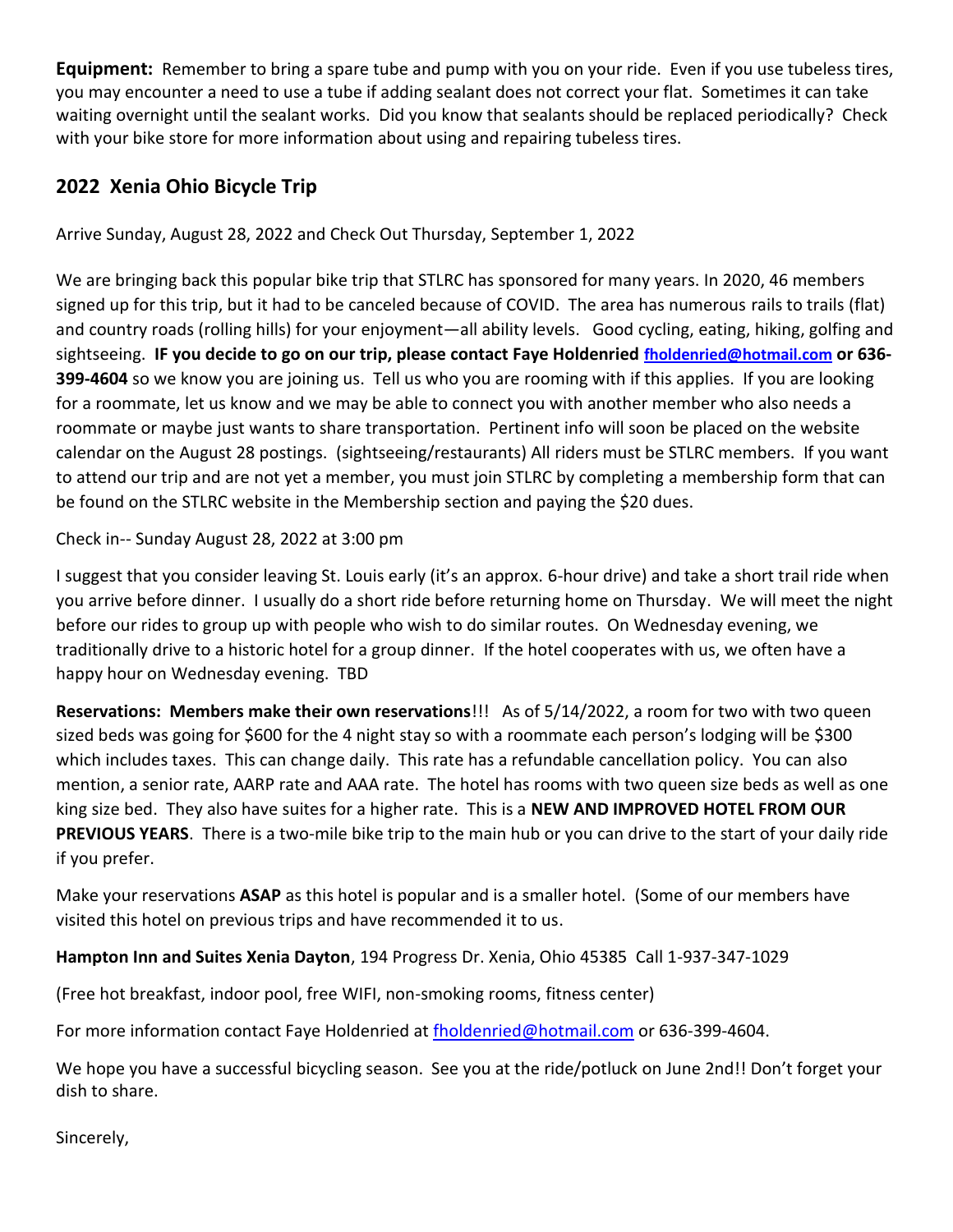**Equipment:** Remember to bring a spare tube and pump with you on your ride. Even if you use tubeless tires, you may encounter a need to use a tube if adding sealant does not correct your flat. Sometimes it can take waiting overnight until the sealant works. Did you know that sealants should be replaced periodically? Check with your bike store for more information about using and repairing tubeless tires.

## **2022 Xenia Ohio Bicycle Trip**

Arrive Sunday, August 28, 2022 and Check Out Thursday, September 1, 2022

We are bringing back this popular bike trip that STLRC has sponsored for many years. In 2020, 46 members signed up for this trip, but it had to be canceled because of COVID. The area has numerous rails to trails (flat) and country roads (rolling hills) for your enjoyment—all ability levels. Good cycling, eating, hiking, golfing and sightseeing. **IF you decide to go on our trip, please contact Faye Holdenried [fholdenried@hotmail.com](mailto:fholdenried@hotmail.com) or 636- 399-4604** so we know you are joining us. Tell us who you are rooming with if this applies. If you are looking for a roommate, let us know and we may be able to connect you with another member who also needs a roommate or maybe just wants to share transportation. Pertinent info will soon be placed on the website calendar on the August 28 postings. (sightseeing/restaurants) All riders must be STLRC members. If you want to attend our trip and are not yet a member, you must join STLRC by completing a membership form that can be found on the STLRC website in the Membership section and paying the \$20 dues.

Check in-- Sunday August 28, 2022 at 3:00 pm

I suggest that you consider leaving St. Louis early (it's an approx. 6-hour drive) and take a short trail ride when you arrive before dinner. I usually do a short ride before returning home on Thursday. We will meet the night before our rides to group up with people who wish to do similar routes. On Wednesday evening, we traditionally drive to a historic hotel for a group dinner. If the hotel cooperates with us, we often have a happy hour on Wednesday evening. TBD

**Reservations: Members make their own reservations**!!! As of 5/14/2022, a room for two with two queen sized beds was going for \$600 for the 4 night stay so with a roommate each person's lodging will be \$300 which includes taxes. This can change daily. This rate has a refundable cancellation policy. You can also mention, a senior rate, AARP rate and AAA rate. The hotel has rooms with two queen size beds as well as one king size bed. They also have suites for a higher rate. This is a **NEW AND IMPROVED HOTEL FROM OUR PREVIOUS YEARS**. There is a two-mile bike trip to the main hub or you can drive to the start of your daily ride if you prefer.

Make your reservations **ASAP** as this hotel is popular and is a smaller hotel. (Some of our members have visited this hotel on previous trips and have recommended it to us.

**Hampton Inn and Suites Xenia Dayton**, 194 Progress Dr. Xenia, Ohio 45385 Call 1-937-347-1029

(Free hot breakfast, indoor pool, free WIFI, non-smoking rooms, fitness center)

For more information contact Faye Holdenried at [fholdenried@hotmail.com](mailto:fholdenried@hotmail.com) or 636-399-4604.

We hope you have a successful bicycling season. See you at the ride/potluck on June 2nd!! Don't forget your dish to share.

Sincerely,